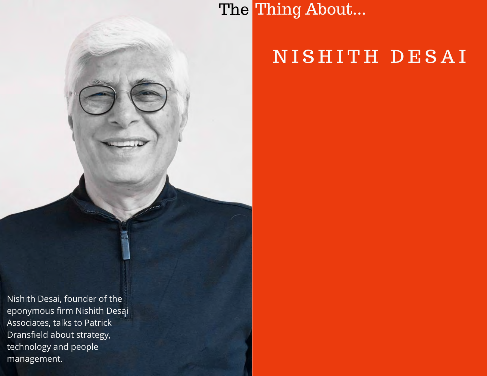# NISHITH DESAI

The Thing About...

Nishith Desai, founder of the eponymous firm Nishith Desai Associates, talks to Patrick Dransfield about strategy, technology and people management.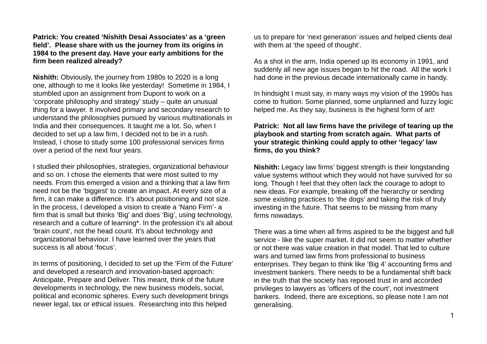**Patrick: You created 'Nishith Desai Associates' as a 'green field'. Please share with us the journey from its origins in 1984 to the present day. Have your early ambitions for the firm been realized already?**

**Nishith:** Obviously, the journey from 1980s to 2020 is a long one, although to me it looks like yesterday! Sometime in 1984, I stumbled upon an assignment from Dupont to work on a 'corporate philosophy and strategy' study – quite an unusual thing for a lawyer. It involved primary and secondary research to understand the philosophies pursued by various multinationals in India and their consequences. It taught me a lot. So, when I decided to set up a law firm, I decided not to be in a rush. Instead, I chose to study some 100 professional services firms over a period of the next four years.

I studied their philosophies, strategies, organizational behaviour and so on. I chose the elements that were most suited to my needs. From this emerged a vision and a thinking that a law firm need not be the 'biggest' to create an impact. At every size of a firm, it can make a difference. It's about positioning and not size. In the process, I developed a vision to create a 'Nano Firm'- a firm that is small but thinks 'Big' and does 'Big', using technology, research and a culture of learning\*. In the profession it's all about 'brain count', not the head count. It's about technology and organizational behaviour. I have learned over the years that success is all about 'focus'.

In terms of positioning, I decided to set up the 'Firm of the Future' and developed a research and innovation-based approach: Anticipate, Prepare and Deliver. This meant, think of the future developments in technology, the new business models, social, political and economic spheres. Every such development brings newer legal, tax or ethical issues. Researching into this helped

us to prepare for 'next generation' issues and helped clients deal with them at 'the speed of thought'.

As a shot in the arm, India opened up its economy in 1991, and suddenly all new age issues began to hit the road. All the work I had done in the previous decade internationally came in handy.

In hindsight I must say, in many ways my vision of the 1990s has come to fruition. Some planned, some unplanned and fuzzy logic helped me. As they say, business is the highest form of art!

# **Patrick: Not all law firms have the privilege of tearing up the playbook and starting from scratch again. What parts of your strategic thinking could apply to other 'legacy' law firms, do you think?**

**Nishith:** Legacy law firms' biggest strength is their longstanding value systems without which they would not have survived for so long. Though I feel that they often lack the courage to adopt to new ideas. For example, breaking off the hierarchy or sending some existing practices to 'the dogs' and taking the risk of truly investing in the future. That seems to be missing from many firms nowadays.

There was a time when all firms aspired to be the biggest and full service - like the super market. It did not seem to matter whether or not there was value creation in that model. That led to culture wars and turned law firms from professional to business enterprises. They began to think like 'Big 4' accounting firms and investment bankers. There needs to be a fundamental shift back in the truth that the society has reposed trust in and accorded privileges to lawyers as 'officers of the court', not investment bankers. Indeed, there are exceptions, so please note I am not generalising.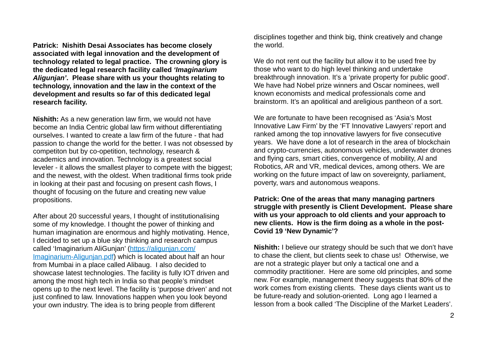**Patrick: Nishith Desai Associates has become closely associated with legal innovation and the development of technology related to legal practice. The crowning glory is the dedicated legal research facility called** *'Imaginarium Aligunjan'***. Please share with us your thoughts relating to technology, innovation and the law in the context of the development and results so far of this dedicated legal research facility.** 

**Nishith:** As a new generation law firm, we would not have become an India Centric global law firm without differentiating ourselves. I wanted to create a law firm of the future - that had passion to change the world for the better. I was not obsessed by competiton but by co-opetition, technology, research & academics and innovation. Technology is a greatest social leveler - it allows the smallest player to compete with the biggest; and the newest, with the oldest. When traditional firms took pride in looking at their past and focusing on present cash flows, I thought of focusing on the future and creating new value propositions.

After about 20 successful years, I thought of institutionalising some of my knowledge. I thought the power of thinking and human imagination are enormous and highly motivating. Hence, I decided to set up a blue sky thinking and research campus called 'Imaginarium AliGunjan' [\(https://aligunjan.com/](https://aligunjan.com/Imaginarium-Aligunjan.pdf) [Imaginarium-Aligunjan.pdf](https://aligunjan.com/Imaginarium-Aligunjan.pdf)) which is located about half an hour from Mumbai in a place called Alibaug. I also decided to showcase latest technologies. The facility is fully IOT driven and among the most high tech in India so that people's mindset opens up to the next level. The facility is 'purpose driven' and not just confined to law. Innovations happen when you look beyond your own industry. The idea is to bring people from different

disciplines together and think big, think creatively and change the world.

We do not rent out the facility but allow it to be used free by those who want to do high level thinking and undertake breakthrough innovation. It's a 'private property for public good'. We have had Nobel prize winners and Oscar nominees, well known economists and medical professionals come and brainstorm. It's an apolitical and areligious pantheon of a sort.

We are fortunate to have been recognised as 'Asia's Most Innovative Law Firm' by the 'FT Innovative Lawyers' report and ranked among the top innovative lawyers for five consecutive years. We have done a lot of research in the area of blockchain and crypto-currencies, autonomous vehicles, underwater drones and flying cars, smart cities, convergence of mobility, Al and Robotics, AR and VR, medical devices, among others. We are working on the future impact of law on sovereignty, parliament, poverty, wars and autonomous weapons.

**Patrick: One of the areas that many managing partners struggle with presently is Client Development. Please share with us your approach to old clients and your approach to new clients. How is the firm doing as a whole in the post-Covid 19 'New Dynamic'?**

**Nishith:** I believe our strategy should be such that we don't have to chase the client, but clients seek to chase us! Otherwise, we are not a strategic player but only a tactical one and a commodity practitioner. Here are some old principles, and some new. For example, management theory suggests that 80% of the work comes from existing clients. These days clients want us to be future-ready and solution-oriented. Long ago I learned a lesson from a book called 'The Discipline of the Market Leaders'.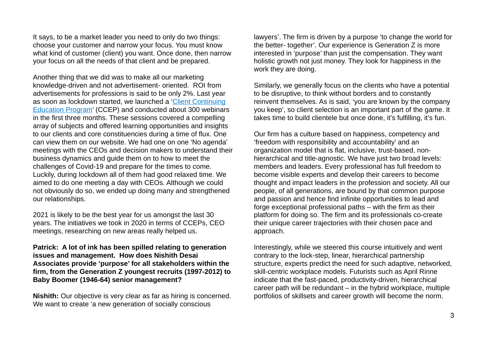It says, to be a market leader you need to only do two things: choose your customer and narrow your focus. You must know what kind of customer (client) you want. Once done, then narrow your focus on all the needs of that client and be prepared.

Another thing that we did was to make all our marketing knowledge-driven and not advertisement- oriented. ROI from advertisements for professions is said to be only 2%. Last year as soon as lockdown started, we launched a ['Client Continuing](http://www.nishithdesai.com/fileadmin/user_upload/images/Events/cCep/NDA_cCep_Event_Material.html)  [Education Program](http://www.nishithdesai.com/fileadmin/user_upload/images/Events/cCep/NDA_cCep_Event_Material.html)' (CCEP) and conducted about 300 webinars in the first three months. These sessions covered a compelling array of subjects and offered learning opportunities and insights to our clients and core constituencies during a time of flux. One can view them on our website. We had one on one 'No agenda' meetings with the CEOs and decision makers to understand their business dynamics and guide them on to how to meet the challenges of Covid-19 and prepare for the times to come. Luckily, during lockdown all of them had good relaxed time. We aimed to do one meeting a day with CEOs. Although we could not obviously do so, we ended up doing many and strengthened our relationships.

2021 is likely to be the best year for us amongst the last 30 years. The initiatives we took in 2020 in terms of CCEPs, CEO meetings, researching on new areas really helped us.

## **Patrick: A lot of ink has been spilled relating to generation issues and management. How does Nishith Desai Associates provide 'purpose' for all stakeholders within the firm, from the Generation Z youngest recruits (1997-2012) to Baby Boomer (1946-64) senior management?**

**Nishith:** Our objective is very clear as far as hiring is concerned. We want to create 'a new generation of socially conscious

lawyers'. The firm is driven by a purpose 'to change the world for the better- together'. Our experience is Generation Z is more interested in 'purpose' than just the compensation. They want holistic growth not just money. They look for happiness in the work they are doing.

Similarly, we generally focus on the clients who have a potential to be disruptive, to think without borders and to constantly reinvent themselves. As is said, 'you are known by the company you keep', so client selection is an important part of the game. It takes time to build clientele but once done, it's fulfilling, it's fun.

Our firm has a culture based on happiness, competency and 'freedom with responsibility and accountability' and an organization model that is flat, inclusive, trust-based, nonhierarchical and title-agnostic. We have just two broad levels: members and leaders. Every professional has full freedom to become visible experts and develop their careers to become thought and impact leaders in the profession and society. All our people, of all generations, are bound by that common purpose and passion and hence find infinite opportunities to lead and forge exceptional professional paths – with the firm as their platform for doing so. The firm and its professionals co-create their unique career trajectories with their chosen pace and approach.

Interestingly, while we steered this course intuitively and went contrary to the lock-step, linear, hierarchical partnership structure, experts predict the need for such adaptive, networked, skill-centric workplace models. Futurists such as April Rinne indicate that the fast-paced, productivity-driven, hierarchical career path will be redundant  $-$  in the hybrid workplace, multiple portfolios of skillsets and career growth will become the norm.